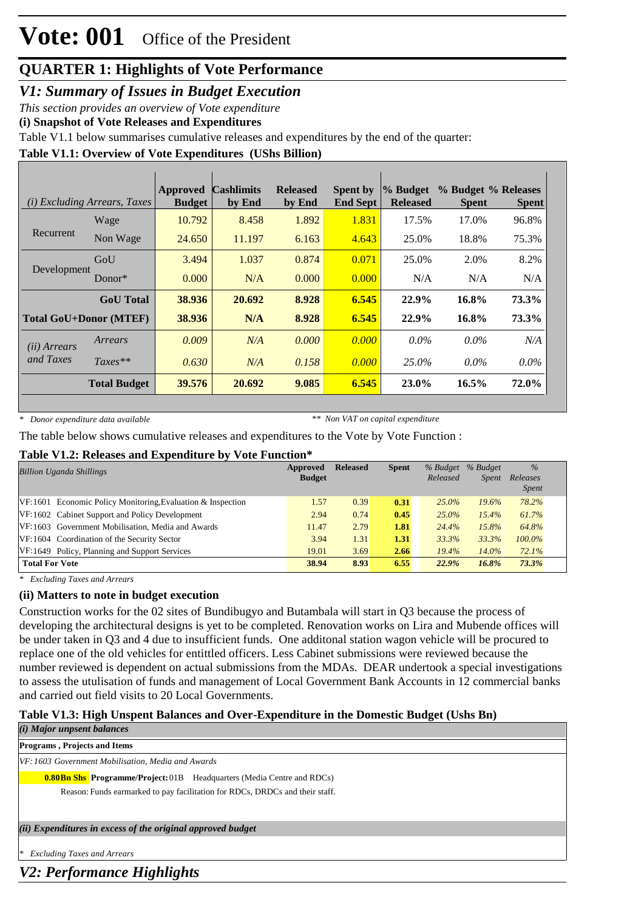*V1: Summary of Issues in Budget Execution*

*This section provides an overview of Vote expenditure* 

**(i) Snapshot of Vote Releases and Expenditures**

Table V1.1 below summarises cumulative releases and expenditures by the end of the quarter:

### **Table V1.1: Overview of Vote Expenditures (UShs Billion)**

|                       | (i) Excluding Arrears, Taxes  | <b>Approved</b><br><b>Budget</b> | <b>Cashlimits</b><br>by End | <b>Released</b><br>by End | Spent by<br><b>End Sept</b> | $\%$ Budget<br><b>Released</b> | % Budget % Releases<br><b>Spent</b> | <b>Spent</b> |
|-----------------------|-------------------------------|----------------------------------|-----------------------------|---------------------------|-----------------------------|--------------------------------|-------------------------------------|--------------|
|                       | Wage                          | 10.792                           | 8.458                       | 1.892                     | 1.831                       | 17.5%                          | 17.0%                               | 96.8%        |
| Recurrent             | Non Wage                      | 24.650                           | 11.197                      | 6.163                     | 4.643                       | 25.0%                          | 18.8%                               | 75.3%        |
| Development           | GoU                           | 3.494                            | 1.037                       | 0.874                     | 0.071                       | 25.0%                          | 2.0%                                | 8.2%         |
|                       | Donor $*$                     | 0.000                            | N/A                         | 0.000                     | 0.000                       | N/A                            | N/A                                 | N/A          |
|                       | <b>GoU</b> Total              | 38.936                           | 20.692                      | 8.928                     | 6.545                       | 22.9%                          | 16.8%                               | 73.3%        |
|                       | <b>Total GoU+Donor (MTEF)</b> | 38.936                           | N/A                         | 8.928                     | 6.545                       | 22.9%                          | 16.8%                               | 73.3%        |
| ( <i>ii</i> ) Arrears | Arrears                       | 0.009                            | N/A                         | 0.000                     | 0.000                       | $0.0\%$                        | $0.0\%$                             | N/A          |
| and Taxes             | $Taxes**$                     | 0.630                            | N/A                         | 0.158                     | 0.000                       | 25.0%                          | $0.0\%$                             | $0.0\%$      |
|                       | <b>Total Budget</b>           | 39.576                           | 20.692                      | 9.085                     | 6.545                       | 23.0%                          | $16.5\%$                            | 72.0%        |

*\* Donor expenditure data available*

*\*\* Non VAT on capital expenditure*

The table below shows cumulative releases and expenditures to the Vote by Vote Function :

#### **Table V1.2: Releases and Expenditure by Vote Function\***

| <b>Billion Uganda Shillings</b>                               | Approved<br><b>Budget</b> | <b>Released</b> | <b>Spent</b> | Released | % Budget % Budget<br><i>Spent</i> | $\frac{0}{0}$<br>Releases<br><b>Spent</b> |  |
|---------------------------------------------------------------|---------------------------|-----------------|--------------|----------|-----------------------------------|-------------------------------------------|--|
| $VF:1601$ Economic Policy Monitoring, Evaluation & Inspection | 1.57                      | 0.39            | 0.31         | $25.0\%$ | $19.6\%$                          | 78.2%                                     |  |
| VF:1602 Cabinet Support and Policy Development                | 2.94                      | 0.74            | 0.45         | $25.0\%$ | 15.4%                             | 61.7%                                     |  |
| VF:1603 Government Mobilisation, Media and Awards             | 11.47                     | 2.79            | 1.81         | 24.4%    | 15.8%                             | 64.8%                                     |  |
| VF:1604 Coordination of the Security Sector                   | 3.94                      | 1.31            | 1.31         | 33.3%    | 33.3%                             | 100.0%                                    |  |
| VF:1649 Policy, Planning and Support Services                 | 19.01                     | 3.69            | 2.66         | $19.4\%$ | $14.0\%$                          | 72.1%                                     |  |
| <b>Total For Vote</b>                                         | 38.94                     | 8.93            | 6.55         | 22.9%    | 16.8%                             | 73.3%                                     |  |

*\* Excluding Taxes and Arrears*

### **(ii) Matters to note in budget execution**

Construction works for the 02 sites of Bundibugyo and Butambala will start in Q3 because the process of developing the architectural designs is yet to be completed. Renovation works on Lira and Mubende offices will be under taken in Q3 and 4 due to insufficient funds. One additonal station wagon vehicle will be procured to replace one of the old vehicles for entittled officers. Less Cabinet submissions were reviewed because the number reviewed is dependent on actual submissions from the MDAs. DEAR undertook a special investigations to assess the utulisation of funds and management of Local Government Bank Accounts in 12 commercial banks and carried out field visits to 20 Local Governments.

### **Table V1.3: High Unspent Balances and Over-Expenditure in the Domestic Budget (Ushs Bn)**

### *(i) Major unpsent balances*

**Programs , Projects and Items**

*VF:1603 Government Mobilisation, Media and Awards*

**0.80Bn Shs** Programme/Project: 01B Headquarters (Media Centre and RDCs)

Reason: Funds earmarked to pay facilitation for RDCs, DRDCs and their staff.

*(ii) Expenditures in excess of the original approved budget*

*\* Excluding Taxes and Arrears*

*V2: Performance Highlights*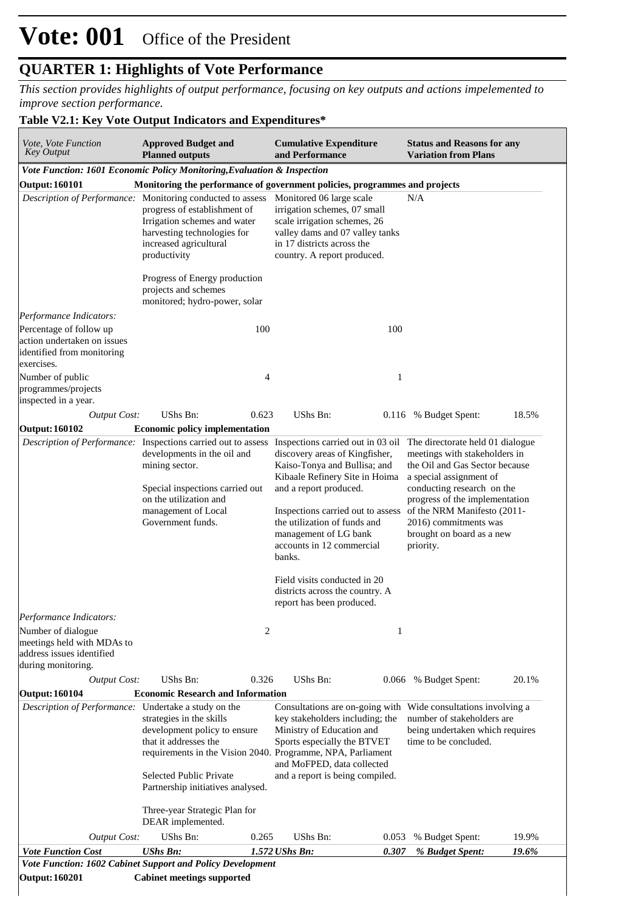# **Vote: 001** Office of the President

### **QUARTER 1: Highlights of Vote Performance**

*This section provides highlights of output performance, focusing on key outputs and actions impelemented to improve section performance.*

#### **Table V2.1: Key Vote Output Indicators and Expenditures\***

| Vote, Vote Function<br><b>Key Output</b><br><b>Output: 160101</b>                                  | <b>Approved Budget and</b><br><b>Planned outputs</b><br>Vote Function: 1601 Economic Policy Monitoring, Evaluation & Inspection<br>Monitoring the performance of government policies, programmes and projects<br>Description of Performance: Monitoring conducted to assess<br>progress of establishment of        |       | <b>Cumulative Expenditure</b><br>and Performance                                                                                                                                                                                                                                                                                                                                                     |       | <b>Status and Reasons for any</b><br><b>Variation from Plans</b>                                                                                                                                                                                                                                 |       |
|----------------------------------------------------------------------------------------------------|--------------------------------------------------------------------------------------------------------------------------------------------------------------------------------------------------------------------------------------------------------------------------------------------------------------------|-------|------------------------------------------------------------------------------------------------------------------------------------------------------------------------------------------------------------------------------------------------------------------------------------------------------------------------------------------------------------------------------------------------------|-------|--------------------------------------------------------------------------------------------------------------------------------------------------------------------------------------------------------------------------------------------------------------------------------------------------|-------|
|                                                                                                    |                                                                                                                                                                                                                                                                                                                    |       |                                                                                                                                                                                                                                                                                                                                                                                                      |       |                                                                                                                                                                                                                                                                                                  |       |
|                                                                                                    |                                                                                                                                                                                                                                                                                                                    |       |                                                                                                                                                                                                                                                                                                                                                                                                      |       |                                                                                                                                                                                                                                                                                                  |       |
|                                                                                                    |                                                                                                                                                                                                                                                                                                                    |       |                                                                                                                                                                                                                                                                                                                                                                                                      |       |                                                                                                                                                                                                                                                                                                  |       |
|                                                                                                    | Irrigation schemes and water<br>harvesting technologies for<br>increased agricultural<br>productivity<br>Progress of Energy production<br>projects and schemes<br>monitored; hydro-power, solar                                                                                                                    |       | Monitored 06 large scale<br>irrigation schemes, 07 small<br>scale irrigation schemes, 26<br>valley dams and 07 valley tanks<br>in 17 districts across the<br>country. A report produced.                                                                                                                                                                                                             |       | N/A                                                                                                                                                                                                                                                                                              |       |
| Performance Indicators:                                                                            |                                                                                                                                                                                                                                                                                                                    |       |                                                                                                                                                                                                                                                                                                                                                                                                      |       |                                                                                                                                                                                                                                                                                                  |       |
| Percentage of follow up<br>action undertaken on issues<br>identified from monitoring<br>exercises. |                                                                                                                                                                                                                                                                                                                    | 100   |                                                                                                                                                                                                                                                                                                                                                                                                      | 100   |                                                                                                                                                                                                                                                                                                  |       |
| Number of public<br>programmes/projects<br>inspected in a year.                                    |                                                                                                                                                                                                                                                                                                                    | 4     |                                                                                                                                                                                                                                                                                                                                                                                                      | 1     |                                                                                                                                                                                                                                                                                                  |       |
| <b>Output Cost:</b>                                                                                | UShs Bn:                                                                                                                                                                                                                                                                                                           | 0.623 | UShs Bn:                                                                                                                                                                                                                                                                                                                                                                                             |       | 0.116 % Budget Spent:                                                                                                                                                                                                                                                                            | 18.5% |
| <b>Output: 160102</b>                                                                              | <b>Economic policy implementation</b>                                                                                                                                                                                                                                                                              |       |                                                                                                                                                                                                                                                                                                                                                                                                      |       |                                                                                                                                                                                                                                                                                                  |       |
| Performance Indicators:<br>Number of dialogue                                                      | Description of Performance: Inspections carried out to assess<br>developments in the oil and<br>mining sector.<br>Special inspections carried out<br>on the utilization and<br>management of Local<br>Government funds.                                                                                            | 2     | Inspections carried out in 03 oil<br>discovery areas of Kingfisher,<br>Kaiso-Tonya and Bullisa; and<br>Kibaale Refinery Site in Hoima<br>and a report produced.<br>Inspections carried out to assess<br>the utilization of funds and<br>management of LG bank<br>accounts in 12 commercial<br>banks.<br>Field visits conducted in 20<br>districts across the country. A<br>report has been produced. | 1     | The directorate held 01 dialogue<br>meetings with stakeholders in<br>the Oil and Gas Sector because<br>a special assignment of<br>conducting research on the<br>progress of the implementation<br>of the NRM Manifesto (2011-<br>2016) commitments was<br>brought on board as a new<br>priority. |       |
| meetings held with MDAs to<br>address issues identified<br>during monitoring.                      |                                                                                                                                                                                                                                                                                                                    |       |                                                                                                                                                                                                                                                                                                                                                                                                      |       |                                                                                                                                                                                                                                                                                                  |       |
| <b>Output Cost:</b>                                                                                | UShs Bn:                                                                                                                                                                                                                                                                                                           | 0.326 | UShs Bn:                                                                                                                                                                                                                                                                                                                                                                                             |       | 0.066 % Budget Spent:                                                                                                                                                                                                                                                                            | 20.1% |
| <b>Output: 160104</b><br>Description of Performance: Undertake a study on the                      | <b>Economic Research and Information</b><br>strategies in the skills<br>development policy to ensure<br>that it addresses the<br>requirements in the Vision 2040. Programme, NPA, Parliament<br>Selected Public Private<br>Partnership initiatives analysed.<br>Three-year Strategic Plan for<br>DEAR implemented. |       | Consultations are on-going with Wide consultations involving a<br>key stakeholders including; the<br>Ministry of Education and<br>Sports especially the BTVET<br>and MoFPED, data collected<br>and a report is being compiled.                                                                                                                                                                       |       | number of stakeholders are<br>being undertaken which requires<br>time to be concluded.                                                                                                                                                                                                           |       |
| <b>Output Cost:</b>                                                                                | UShs Bn:                                                                                                                                                                                                                                                                                                           | 0.265 | UShs Bn:                                                                                                                                                                                                                                                                                                                                                                                             | 0.053 | % Budget Spent:                                                                                                                                                                                                                                                                                  | 19.9% |
| <b>Vote Function Cost</b>                                                                          | <b>UShs Bn:</b>                                                                                                                                                                                                                                                                                                    |       | 1.572 UShs Bn:                                                                                                                                                                                                                                                                                                                                                                                       | 0.307 | % Budget Spent:                                                                                                                                                                                                                                                                                  | 19.6% |
|                                                                                                    | Vote Function: 1602 Cabinet Support and Policy Development                                                                                                                                                                                                                                                         |       |                                                                                                                                                                                                                                                                                                                                                                                                      |       |                                                                                                                                                                                                                                                                                                  |       |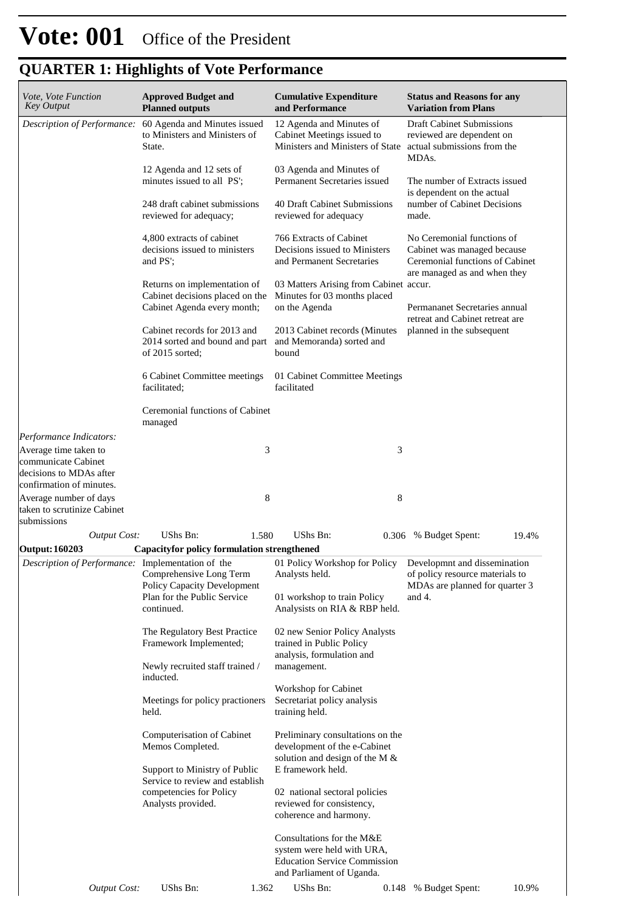| Vote, Vote Function<br><b>Key Output</b>                                                                                       | <b>Approved Budget and</b><br><b>Planned outputs</b>                                                                                      | <b>Cumulative Expenditure</b><br>and Performance                                                               | <b>Status and Reasons for any</b><br><b>Variation from Plans</b>                                      |  |  |  |
|--------------------------------------------------------------------------------------------------------------------------------|-------------------------------------------------------------------------------------------------------------------------------------------|----------------------------------------------------------------------------------------------------------------|-------------------------------------------------------------------------------------------------------|--|--|--|
| Description of Performance:                                                                                                    | 60 Agenda and Minutes issued<br>to Ministers and Ministers of<br>State.                                                                   | 12 Agenda and Minutes of<br>Cabinet Meetings issued to<br>Ministers and Ministers of State                     | <b>Draft Cabinet Submissions</b><br>reviewed are dependent on<br>actual submissions from the<br>MDAs. |  |  |  |
|                                                                                                                                | 12 Agenda and 12 sets of<br>minutes issued to all PS';<br>248 draft cabinet submissions                                                   | 03 Agenda and Minutes of<br>Permanent Secretaries issued<br>40 Draft Cabinet Submissions                       | The number of Extracts issued<br>is dependent on the actual<br>number of Cabinet Decisions            |  |  |  |
|                                                                                                                                | reviewed for adequacy;<br>4,800 extracts of cabinet<br>decisions issued to ministers<br>and PS';                                          | reviewed for adequacy<br>766 Extracts of Cabinet<br>Decisions issued to Ministers<br>and Permanent Secretaries | made.<br>No Ceremonial functions of<br>Cabinet was managed because<br>Ceremonial functions of Cabinet |  |  |  |
|                                                                                                                                | Returns on implementation of<br>Cabinet decisions placed on the<br>Cabinet Agenda every month;                                            | 03 Matters Arising from Cabinet accur.<br>Minutes for 03 months placed<br>on the Agenda                        | are managed as and when they<br>Permananet Secretaries annual<br>retreat and Cabinet retreat are      |  |  |  |
|                                                                                                                                | Cabinet records for 2013 and<br>2014 sorted and bound and part<br>of 2015 sorted;                                                         | 2013 Cabinet records (Minutes<br>and Memoranda) sorted and<br>bound                                            | planned in the subsequent                                                                             |  |  |  |
|                                                                                                                                | 6 Cabinet Committee meetings<br>facilitated;                                                                                              | 01 Cabinet Committee Meetings<br>facilitated                                                                   |                                                                                                       |  |  |  |
|                                                                                                                                | Ceremonial functions of Cabinet<br>managed                                                                                                |                                                                                                                |                                                                                                       |  |  |  |
| Performance Indicators:<br>Average time taken to<br>communicate Cabinet<br>decisions to MDAs after<br>confirmation of minutes. | 3                                                                                                                                         | 3                                                                                                              |                                                                                                       |  |  |  |
| Average number of days<br>taken to scrutinize Cabinet<br>submissions                                                           | 8                                                                                                                                         | 8                                                                                                              |                                                                                                       |  |  |  |
| <b>Output Cost:</b>                                                                                                            | <b>UShs Bn:</b><br>1.580                                                                                                                  | UShs Bn:                                                                                                       | 0.306 % Budget Spent:<br>19.4%                                                                        |  |  |  |
| <b>Output: 160203</b>                                                                                                          | <b>Capacityfor policy formulation strengthened</b>                                                                                        |                                                                                                                |                                                                                                       |  |  |  |
|                                                                                                                                | Description of Performance: Implementation of the 01 Policy Workshop for Policy<br>Comprehensive Long Term<br>Policy Capacity Development | Analysts held.                                                                                                 | Developmnt and dissemination<br>of policy resource materials to<br>MDAs are planned for quarter 3     |  |  |  |
|                                                                                                                                | Plan for the Public Service<br>continued.                                                                                                 | 01 workshop to train Policy<br>Analysists on RIA & RBP held.                                                   | and 4.                                                                                                |  |  |  |
|                                                                                                                                | The Regulatory Best Practice<br>Framework Implemented;                                                                                    | 02 new Senior Policy Analysts<br>trained in Public Policy<br>analysis, formulation and                         |                                                                                                       |  |  |  |
|                                                                                                                                | Newly recruited staff trained /<br>inducted.                                                                                              | management.                                                                                                    |                                                                                                       |  |  |  |
|                                                                                                                                | Meetings for policy practioners<br>held.                                                                                                  | Workshop for Cabinet<br>Secretariat policy analysis<br>training held.                                          |                                                                                                       |  |  |  |
|                                                                                                                                | Computerisation of Cabinet<br>Memos Completed.                                                                                            | Preliminary consultations on the<br>development of the e-Cabinet<br>solution and design of the M &             |                                                                                                       |  |  |  |
|                                                                                                                                | Support to Ministry of Public<br>Service to review and establish<br>competencies for Policy                                               | E framework held.<br>02 national sectoral policies                                                             |                                                                                                       |  |  |  |
|                                                                                                                                | Analysts provided.                                                                                                                        | reviewed for consistency,<br>coherence and harmony.                                                            |                                                                                                       |  |  |  |

| 0.148 % Budget Spent:<br>1.362<br>UShs Bn:<br>UShs Bn:<br><i>Output Cost:</i> | <b>Education Service Commission</b><br>and Parliament of Uganda. |  |  |  |  |       |  |  |  |
|-------------------------------------------------------------------------------|------------------------------------------------------------------|--|--|--|--|-------|--|--|--|
|                                                                               |                                                                  |  |  |  |  | 10.9% |  |  |  |

Consultations for the M&E system were held with URA,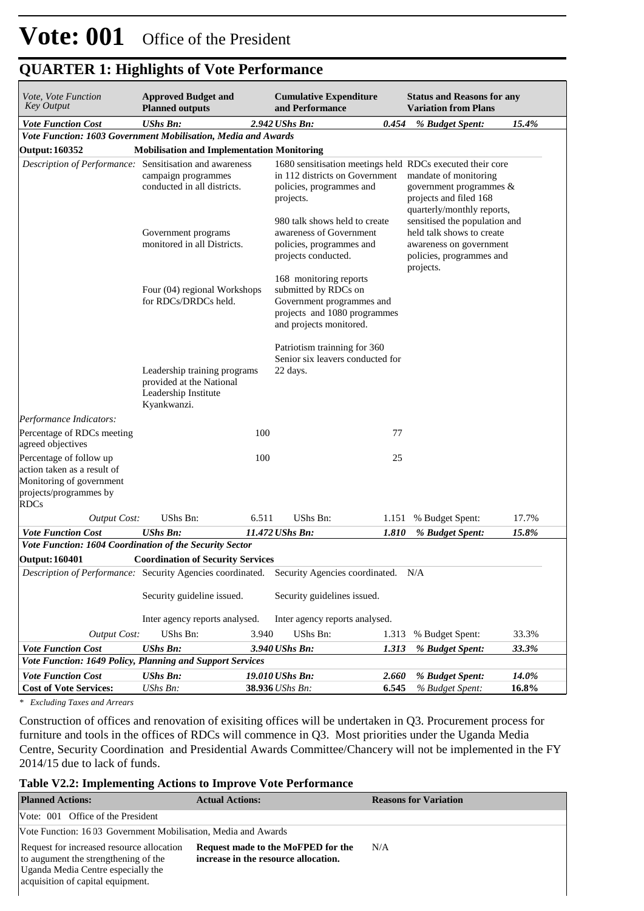| Vote, Vote Function<br>Key Output                                                                                           | <b>Approved Budget and</b><br><b>Planned outputs</b>                                                                                                                                           |       | <b>Cumulative Expenditure</b><br>and Performance                                                                                     |                                                                                                          | <b>Status and Reasons for any</b><br><b>Variation from Plans</b>                                                               |                |  |
|-----------------------------------------------------------------------------------------------------------------------------|------------------------------------------------------------------------------------------------------------------------------------------------------------------------------------------------|-------|--------------------------------------------------------------------------------------------------------------------------------------|----------------------------------------------------------------------------------------------------------|--------------------------------------------------------------------------------------------------------------------------------|----------------|--|
| <b>Vote Function Cost</b>                                                                                                   | <b>UShs Bn:</b>                                                                                                                                                                                |       | 2.942 UShs Bn:<br>0.454                                                                                                              |                                                                                                          | % Budget Spent:                                                                                                                | 15.4%          |  |
| Vote Function: 1603 Government Mobilisation, Media and Awards                                                               |                                                                                                                                                                                                |       |                                                                                                                                      |                                                                                                          |                                                                                                                                |                |  |
| <b>Output: 160352</b>                                                                                                       | <b>Mobilisation and Implementation Monitoring</b>                                                                                                                                              |       |                                                                                                                                      |                                                                                                          |                                                                                                                                |                |  |
| Description of Performance: Sensitisation and awareness                                                                     | campaign programmes<br>conducted in all districts.                                                                                                                                             |       | 1680 sensitisation meetings held RDCs executed their core<br>in 112 districts on Government<br>policies, programmes and<br>projects. | mandate of monitoring<br>government programmes &<br>projects and filed 168<br>quarterly/monthly reports, |                                                                                                                                |                |  |
|                                                                                                                             | Government programs<br>monitored in all Districts.                                                                                                                                             |       | 980 talk shows held to create<br>awareness of Government<br>policies, programmes and<br>projects conducted.                          |                                                                                                          | sensitised the population and<br>held talk shows to create<br>awareness on government<br>policies, programmes and<br>projects. |                |  |
|                                                                                                                             | 168 monitoring reports<br>Four (04) regional Workshops<br>submitted by RDCs on<br>for RDCs/DRDCs held.<br>Government programmes and<br>projects and 1080 programmes<br>and projects monitored. |       |                                                                                                                                      |                                                                                                          |                                                                                                                                |                |  |
|                                                                                                                             | Leadership training programs<br>provided at the National<br>Leadership Institute<br>Kyankwanzi.                                                                                                |       | Patriotism trainning for 360<br>Senior six leavers conducted for<br>22 days.                                                         |                                                                                                          |                                                                                                                                |                |  |
| Performance Indicators:                                                                                                     |                                                                                                                                                                                                |       |                                                                                                                                      |                                                                                                          |                                                                                                                                |                |  |
| Percentage of RDCs meeting<br>agreed objectives                                                                             |                                                                                                                                                                                                | 100   | 77                                                                                                                                   |                                                                                                          |                                                                                                                                |                |  |
| Percentage of follow up<br>action taken as a result of<br>Monitoring of government<br>projects/programmes by<br><b>RDCs</b> |                                                                                                                                                                                                | 100   | 25                                                                                                                                   |                                                                                                          |                                                                                                                                |                |  |
| <b>Output Cost:</b>                                                                                                         | UShs Bn:                                                                                                                                                                                       | 6.511 | UShs Bn:<br>1.151                                                                                                                    |                                                                                                          | % Budget Spent:                                                                                                                | 17.7%          |  |
| <b>Vote Function Cost</b>                                                                                                   | <b>UShs Bn:</b>                                                                                                                                                                                |       | 11.472 UShs Bn:<br>1.810                                                                                                             |                                                                                                          | % Budget Spent:                                                                                                                | 15.8%          |  |
| Vote Function: 1604 Coordination of the Security Sector                                                                     |                                                                                                                                                                                                |       |                                                                                                                                      |                                                                                                          |                                                                                                                                |                |  |
| <b>Output: 160401</b>                                                                                                       | <b>Coordination of Security Services</b>                                                                                                                                                       |       |                                                                                                                                      |                                                                                                          |                                                                                                                                |                |  |
|                                                                                                                             |                                                                                                                                                                                                |       | Description of Performance: Security Agencies coordinated. Security Agencies coordinated. N/A                                        |                                                                                                          |                                                                                                                                |                |  |
|                                                                                                                             | Security guideline issued.                                                                                                                                                                     |       | Security guidelines issued.                                                                                                          |                                                                                                          |                                                                                                                                |                |  |
|                                                                                                                             | Inter agency reports analysed.                                                                                                                                                                 |       | Inter agency reports analysed.                                                                                                       |                                                                                                          |                                                                                                                                |                |  |
| Output Cost:                                                                                                                | UShs Bn:                                                                                                                                                                                       | 3.940 | UShs Bn:<br>1.313                                                                                                                    |                                                                                                          | % Budget Spent:                                                                                                                | 33.3%          |  |
| <b>Vote Function Cost</b>                                                                                                   | <b>UShs Bn:</b>                                                                                                                                                                                |       | 3.940 UShs Bn:<br>1.313                                                                                                              |                                                                                                          | % Budget Spent:                                                                                                                | 33.3%          |  |
| Vote Function: 1649 Policy, Planning and Support Services                                                                   |                                                                                                                                                                                                |       |                                                                                                                                      |                                                                                                          |                                                                                                                                |                |  |
| <b>Vote Function Cost</b><br><b>Cost of Vote Services:</b>                                                                  | <b>UShs Bn:</b><br>UShs Bn:                                                                                                                                                                    |       | 19.010 UShs Bn:<br>2.660<br>38.936 UShs Bn:<br>6.545                                                                                 |                                                                                                          | % Budget Spent:<br>% Budget Spent:                                                                                             | 14.0%<br>16.8% |  |
|                                                                                                                             |                                                                                                                                                                                                |       |                                                                                                                                      |                                                                                                          |                                                                                                                                |                |  |

*\* Excluding Taxes and Arrears*

Construction of offices and renovation of exisiting offices will be undertaken in Q3. Procurement process for furniture and tools in the offices of RDCs will commence in Q3. Most priorities under the Uganda Media Centre, Security Coordination and Presidential Awards Committee/Chancery will not be implemented in the FY 2014/15 due to lack of funds.

#### **Table V2.2: Implementing Actions to Improve Vote Performance**

| <b>Planned Actions:</b>                                                                                                                                      | <b>Actual Actions:</b>                                                     | <b>Reasons for Variation</b> |  |  |  |  |  |
|--------------------------------------------------------------------------------------------------------------------------------------------------------------|----------------------------------------------------------------------------|------------------------------|--|--|--|--|--|
| Vote: 001 Office of the President                                                                                                                            |                                                                            |                              |  |  |  |  |  |
| Vote Function: 1603 Government Mobilisation, Media and Awards                                                                                                |                                                                            |                              |  |  |  |  |  |
| Request for increased resource allocation<br>to augument the strengthening of the<br>Uganda Media Centre especially the<br>acquisition of capital equipment. | Request made to the MoFPED for the<br>increase in the resource allocation. | N/A                          |  |  |  |  |  |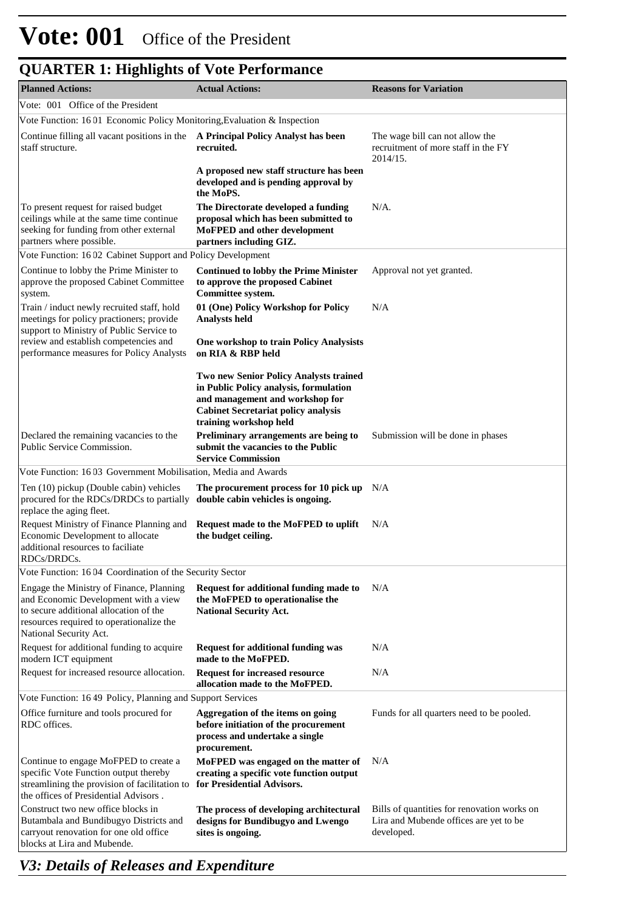| <b>Planned Actions:</b>                                                                                                                                                                          | <b>Actual Actions:</b>                                                                                                                                                                      | <b>Reasons for Variation</b>                                                                        |
|--------------------------------------------------------------------------------------------------------------------------------------------------------------------------------------------------|---------------------------------------------------------------------------------------------------------------------------------------------------------------------------------------------|-----------------------------------------------------------------------------------------------------|
| Vote: 001 Office of the President                                                                                                                                                                |                                                                                                                                                                                             |                                                                                                     |
| Vote Function: 1601 Economic Policy Monitoring, Evaluation & Inspection                                                                                                                          |                                                                                                                                                                                             |                                                                                                     |
| Continue filling all vacant positions in the A Principal Policy Analyst has been<br>staff structure.                                                                                             | recruited.                                                                                                                                                                                  | The wage bill can not allow the<br>recruitment of more staff in the FY<br>2014/15.                  |
|                                                                                                                                                                                                  | A proposed new staff structure has been<br>developed and is pending approval by<br>the MoPS.                                                                                                |                                                                                                     |
| To present request for raised budget<br>ceilings while at the same time continue<br>seeking for funding from other external<br>partners where possible.                                          | The Directorate developed a funding<br>proposal which has been submitted to<br><b>MoFPED</b> and other development<br>partners including GIZ.                                               | $N/A$ .                                                                                             |
| Vote Function: 1602 Cabinet Support and Policy Development                                                                                                                                       |                                                                                                                                                                                             |                                                                                                     |
| Continue to lobby the Prime Minister to<br>approve the proposed Cabinet Committee<br>system.                                                                                                     | <b>Continued to lobby the Prime Minister</b><br>to approve the proposed Cabinet<br>Committee system.                                                                                        | Approval not yet granted.                                                                           |
| Train / induct newly recruited staff, hold<br>meetings for policy practioners; provide<br>support to Ministry of Public Service to                                                               | 01 (One) Policy Workshop for Policy<br><b>Analysts held</b>                                                                                                                                 | N/A                                                                                                 |
| review and establish competencies and<br>performance measures for Policy Analysts                                                                                                                | One workshop to train Policy Analysists<br>on RIA & RBP held                                                                                                                                |                                                                                                     |
|                                                                                                                                                                                                  | Two new Senior Policy Analysts trained<br>in Public Policy analysis, formulation<br>and management and workshop for<br><b>Cabinet Secretariat policy analysis</b><br>training workshop held |                                                                                                     |
| Declared the remaining vacancies to the<br>Public Service Commission.                                                                                                                            | Preliminary arrangements are being to<br>submit the vacancies to the Public<br><b>Service Commission</b>                                                                                    | Submission will be done in phases                                                                   |
| Vote Function: 1603 Government Mobilisation, Media and Awards                                                                                                                                    |                                                                                                                                                                                             |                                                                                                     |
| Ten (10) pickup (Double cabin) vehicles<br>procured for the RDCs/DRDCs to partially<br>replace the aging fleet.                                                                                  | The procurement process for 10 pick up N/A<br>double cabin vehicles is ongoing.                                                                                                             |                                                                                                     |
| Request Ministry of Finance Planning and<br>Economic Development to allocate<br>additional resources to faciliate<br>RDCs/DRDCs.                                                                 | Request made to the MoFPED to uplift<br>the budget ceiling.                                                                                                                                 | N/A                                                                                                 |
| Vote Function: 1604 Coordination of the Security Sector                                                                                                                                          |                                                                                                                                                                                             |                                                                                                     |
| Engage the Ministry of Finance, Planning<br>and Economic Development with a view<br>to secure additional allocation of the<br>resources required to operationalize the<br>National Security Act. | Request for additional funding made to<br>the MoFPED to operationalise the<br><b>National Security Act.</b>                                                                                 | N/A                                                                                                 |
| Request for additional funding to acquire<br>modern ICT equipment                                                                                                                                | <b>Request for additional funding was</b><br>made to the MoFPED.                                                                                                                            | N/A                                                                                                 |
| Request for increased resource allocation.                                                                                                                                                       | <b>Request for increased resource</b><br>allocation made to the MoFPED.                                                                                                                     | N/A                                                                                                 |
| Vote Function: 1649 Policy, Planning and Support Services                                                                                                                                        |                                                                                                                                                                                             |                                                                                                     |
| Office furniture and tools procured for<br>RDC offices.                                                                                                                                          | Aggregation of the items on going<br>before initiation of the procurement<br>process and undertake a single<br>procurement.                                                                 | Funds for all quarters need to be pooled.                                                           |
| Continue to engage MoFPED to create a<br>specific Vote Function output thereby<br>streamlining the provision of facilitation to<br>the offices of Presidential Advisors.                         | MoFPED was engaged on the matter of<br>creating a specific vote function output<br>for Presidential Advisors.                                                                               | N/A                                                                                                 |
| Construct two new office blocks in<br>Butambala and Bundibugyo Districts and<br>carryout renovation for one old office<br>blocks at Lira and Mubende.                                            | The process of developing architectural<br>designs for Bundibugyo and Lwengo<br>sites is ongoing.                                                                                           | Bills of quantities for renovation works on<br>Lira and Mubende offices are yet to be<br>developed. |

*V3: Details of Releases and Expenditure*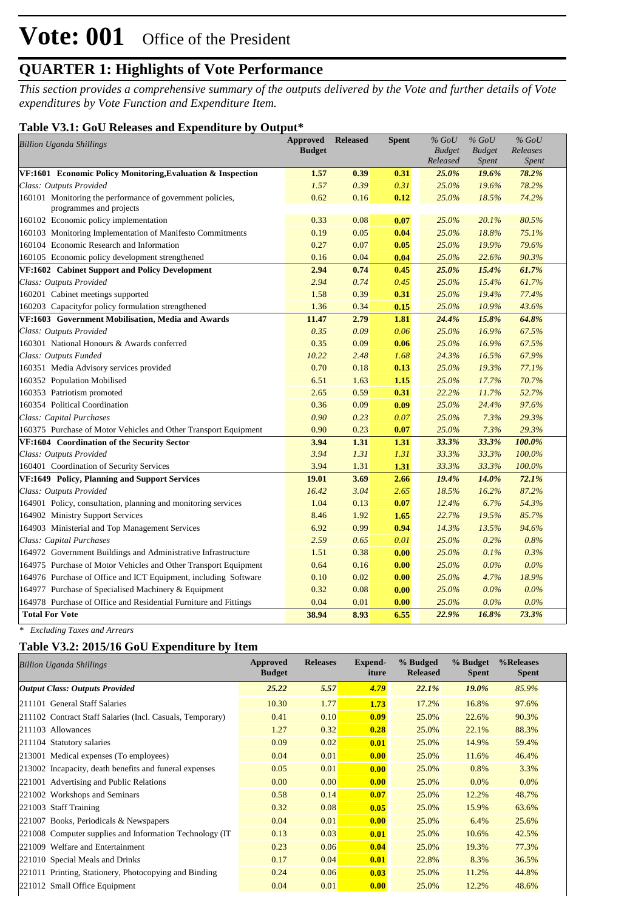*This section provides a comprehensive summary of the outputs delivered by the Vote and further details of Vote expenditures by Vote Function and Expenditure Item.*

#### **Table V3.1: GoU Releases and Expenditure by Output\***

| <b>Billion Uganda Shillings</b>                                                      | <b>Approved</b><br><b>Budget</b> | <b>Released</b> | <b>Spent</b> | $%$ GoU<br><b>Budget</b> | $\%$ GoU<br><b>Budget</b> | $%$ GoU<br>Releases |
|--------------------------------------------------------------------------------------|----------------------------------|-----------------|--------------|--------------------------|---------------------------|---------------------|
|                                                                                      |                                  |                 |              | Released                 | <i>Spent</i>              | Spent               |
| VF:1601 Economic Policy Monitoring, Evaluation & Inspection                          | 1.57                             | 0.39            | 0.31         | 25.0%                    | 19.6%                     | 78.2%               |
| Class: Outputs Provided                                                              | 1.57                             | 0.39            | 0.31         | 25.0%                    | 19.6%                     | 78.2%               |
| 160101 Monitoring the performance of government policies,<br>programmes and projects | 0.62                             | 0.16            | 0.12         | 25.0%                    | 18.5%                     | 74.2%               |
| 160102 Economic policy implementation                                                | 0.33                             | 0.08            | 0.07         | 25.0%                    | 20.1%                     | 80.5%               |
| 160103 Monitoring Implementation of Manifesto Commitments                            | 0.19                             | 0.05            | 0.04         | 25.0%                    | 18.8%                     | 75.1%               |
| 160104 Economic Research and Information                                             | 0.27                             | 0.07            | 0.05         | 25.0%                    | 19.9%                     | 79.6%               |
| 160105 Economic policy development strengthened                                      | 0.16                             | 0.04            | 0.04         | 25.0%                    | 22.6%                     | 90.3%               |
| VF:1602 Cabinet Support and Policy Development                                       | 2.94                             | 0.74            | 0.45         | 25.0%                    | 15.4%                     | 61.7%               |
| Class: Outputs Provided                                                              | 2.94                             | 0.74            | 0.45         | 25.0%                    | 15.4%                     | 61.7%               |
| 160201 Cabinet meetings supported                                                    | 1.58                             | 0.39            | 0.31         | 25.0%                    | 19.4%                     | 77.4%               |
| 160203 Capacityfor policy formulation strengthened                                   | 1.36                             | 0.34            | 0.15         | 25.0%                    | 10.9%                     | 43.6%               |
| VF:1603 Government Mobilisation, Media and Awards                                    | 11.47                            | 2.79            | 1.81         | 24.4%                    | 15.8%                     | 64.8%               |
| Class: Outputs Provided                                                              | 0.35                             | 0.09            | 0.06         | 25.0%                    | 16.9%                     | 67.5%               |
| 160301 National Honours & Awards conferred                                           | 0.35                             | 0.09            | 0.06         | 25.0%                    | 16.9%                     | 67.5%               |
| Class: Outputs Funded                                                                | 10.22                            | 2.48            | 1.68         | 24.3%                    | 16.5%                     | 67.9%               |
| 160351 Media Advisory services provided                                              | 0.70                             | 0.18            | 0.13         | 25.0%                    | 19.3%                     | 77.1%               |
| 160352 Population Mobilised                                                          | 6.51                             | 1.63            | 1.15         | 25.0%                    | 17.7%                     | 70.7%               |
| 160353 Patriotism promoted                                                           | 2.65                             | 0.59            | 0.31         | 22.2%                    | 11.7%                     | 52.7%               |
| 160354 Political Coordination                                                        | 0.36                             | 0.09            | 0.09         | 25.0%                    | 24.4%                     | 97.6%               |
| Class: Capital Purchases                                                             | 0.90                             | 0.23            | 0.07         | 25.0%                    | 7.3%                      | 29.3%               |
| 160375 Purchase of Motor Vehicles and Other Transport Equipment                      | 0.90                             | 0.23            | 0.07         | 25.0%                    | 7.3%                      | 29.3%               |
| VF:1604 Coordination of the Security Sector                                          | 3.94                             | 1.31            | 1.31         | 33.3%                    | 33.3%                     | 100.0%              |
| Class: Outputs Provided                                                              | 3.94                             | 1.31            | 1.31         | 33.3%                    | 33.3%                     | 100.0%              |
| 160401 Coordination of Security Services                                             | 3.94                             | 1.31            | 1.31         | 33.3%                    | 33.3%                     | 100.0%              |
| <b>VF:1649 Policy, Planning and Support Services</b>                                 | 19.01                            | 3.69            | 2.66         | 19.4%                    | 14.0%                     | 72.1%               |
| Class: Outputs Provided                                                              | 16.42                            | 3.04            | 2.65         | 18.5%                    | 16.2%                     | 87.2%               |
| 164901 Policy, consultation, planning and monitoring services                        | 1.04                             | 0.13            | 0.07         | 12.4%                    | 6.7%                      | 54.3%               |
| 164902 Ministry Support Services                                                     | 8.46                             | 1.92            | 1.65         | 22.7%                    | 19.5%                     | 85.7%               |
| 164903 Ministerial and Top Management Services                                       | 6.92                             | 0.99            | 0.94         | 14.3%                    | 13.5%                     | 94.6%               |
| Class: Capital Purchases                                                             | 2.59                             | 0.65            | 0.01         | 25.0%                    | 0.2%                      | 0.8%                |
| 164972 Government Buildings and Administrative Infrastructure                        | 1.51                             | 0.38            | 0.00         | 25.0%                    | 0.1%                      | 0.3%                |
| 164975 Purchase of Motor Vehicles and Other Transport Equipment                      | 0.64                             | 0.16            | 0.00         | 25.0%                    | $0.0\%$                   | 0.0%                |
| 164976 Purchase of Office and ICT Equipment, including Software                      | 0.10                             | 0.02            | 0.00         | 25.0%                    | 4.7%                      | 18.9%               |
| 164977 Purchase of Specialised Machinery & Equipment                                 | 0.32                             | 0.08            | 0.00         | 25.0%                    | 0.0%                      | 0.0%                |
| 164978 Purchase of Office and Residential Furniture and Fittings                     | 0.04                             | 0.01            | 0.00         | 25.0%                    | 0.0%                      | 0.0%                |
| <b>Total For Vote</b>                                                                | 38.94                            | 8.93            | 6.55         | 22.9%                    | 16.8%                     | 73.3%               |

*\* Excluding Taxes and Arrears*

#### **Table V3.2: 2015/16 GoU Expenditure by Item**

| <b>Billion Uganda Shillings</b>                           | Approved<br><b>Budget</b> | <b>Releases</b> | Expend-<br>iture | % Budged<br><b>Released</b> | % Budget<br><b>Spent</b> | %Releases<br><b>Spent</b> |
|-----------------------------------------------------------|---------------------------|-----------------|------------------|-----------------------------|--------------------------|---------------------------|
| <b>Output Class: Outputs Provided</b>                     | 25.22                     | 5.57            | 4.79             | 22.1%                       | 19.0%                    | 85.9%                     |
| 211101 General Staff Salaries                             | 10.30                     | 1.77            | 1.73             | 17.2%                       | 16.8%                    | 97.6%                     |
| 211102 Contract Staff Salaries (Incl. Casuals, Temporary) | 0.41                      | 0.10            | 0.09             | 25.0%                       | 22.6%                    | 90.3%                     |
| 211103 Allowances                                         | 1.27                      | 0.32            | 0.28             | 25.0%                       | 22.1%                    | 88.3%                     |
| 211104 Statutory salaries                                 | 0.09                      | 0.02            | 0.01             | 25.0%                       | 14.9%                    | 59.4%                     |
| 213001 Medical expenses (To employees)                    | 0.04                      | 0.01            | 0.00             | 25.0%                       | 11.6%                    | 46.4%                     |
| 213002 Incapacity, death benefits and funeral expenses    | 0.05                      | 0.01            | 0.00             | 25.0%                       | 0.8%                     | 3.3%                      |
| 221001 Advertising and Public Relations                   | 0.00                      | 0.00            | 0.00             | 25.0%                       | 0.0%                     | $0.0\%$                   |
| 221002 Workshops and Seminars                             | 0.58                      | 0.14            | 0.07             | 25.0%                       | 12.2%                    | 48.7%                     |
| 221003 Staff Training                                     | 0.32                      | 0.08            | 0.05             | 25.0%                       | 15.9%                    | 63.6%                     |
| 221007 Books, Periodicals & Newspapers                    | 0.04                      | 0.01            | 0.00             | 25.0%                       | 6.4%                     | 25.6%                     |
| 221008 Computer supplies and Information Technology (IT)  | 0.13                      | 0.03            | 0.01             | 25.0%                       | 10.6%                    | 42.5%                     |
| 221009 Welfare and Entertainment                          | 0.23                      | 0.06            | 0.04             | 25.0%                       | 19.3%                    | 77.3%                     |
| 221010 Special Meals and Drinks                           | 0.17                      | 0.04            | 0.01             | 22.8%                       | 8.3%                     | 36.5%                     |
| 221011 Printing, Stationery, Photocopying and Binding     | 0.24                      | 0.06            | 0.03             | 25.0%                       | 11.2%                    | 44.8%                     |
| 221012 Small Office Equipment                             | 0.04                      | 0.01            | 0.00             | 25.0%                       | 12.2%                    | 48.6%                     |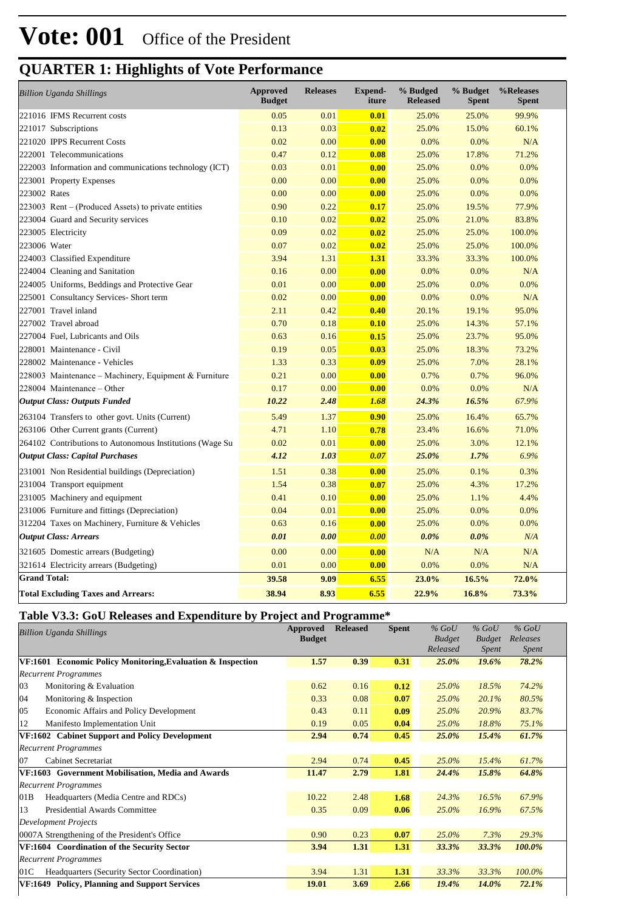| <b>Billion Uganda Shillings</b>                          | <b>Approved</b><br><b>Budget</b> | <b>Releases</b> | <b>Expend-</b><br>iture | % Budged<br><b>Released</b> | % Budget<br><b>Spent</b> | %Releases<br><b>Spent</b> |
|----------------------------------------------------------|----------------------------------|-----------------|-------------------------|-----------------------------|--------------------------|---------------------------|
| 221016 IFMS Recurrent costs                              | 0.05                             | 0.01            | 0.01                    | 25.0%                       | 25.0%                    | 99.9%                     |
| 221017 Subscriptions                                     | 0.13                             | 0.03            | 0.02                    | 25.0%                       | 15.0%                    | 60.1%                     |
| 221020 IPPS Recurrent Costs                              | 0.02                             | 0.00            | 0.00                    | 0.0%                        | 0.0%                     | N/A                       |
| 222001 Telecommunications                                | 0.47                             | 0.12            | 0.08                    | 25.0%                       | 17.8%                    | 71.2%                     |
| 222003 Information and communications technology (ICT)   | 0.03                             | 0.01            | 0.00                    | 25.0%                       | 0.0%                     | 0.0%                      |
| 223001 Property Expenses                                 | 0.00                             | 0.00            | 0.00                    | 25.0%                       | 0.0%                     | 0.0%                      |
| 223002 Rates                                             | 0.00                             | 0.00            | 0.00                    | 25.0%                       | 0.0%                     | 0.0%                      |
| 223003 Rent – (Produced Assets) to private entities      | 0.90                             | 0.22            | 0.17                    | 25.0%                       | 19.5%                    | 77.9%                     |
| 223004 Guard and Security services                       | 0.10                             | 0.02            | 0.02                    | 25.0%                       | 21.0%                    | 83.8%                     |
| 223005 Electricity                                       | 0.09                             | 0.02            | 0.02                    | 25.0%                       | 25.0%                    | 100.0%                    |
| 223006 Water                                             | 0.07                             | 0.02            | 0.02                    | 25.0%                       | 25.0%                    | 100.0%                    |
| 224003 Classified Expenditure                            | 3.94                             | 1.31            | 1.31                    | 33.3%                       | 33.3%                    | 100.0%                    |
| 224004 Cleaning and Sanitation                           | 0.16                             | 0.00            | 0.00                    | 0.0%                        | 0.0%                     | N/A                       |
| 224005 Uniforms, Beddings and Protective Gear            | 0.01                             | 0.00            | 0.00                    | 25.0%                       | 0.0%                     | 0.0%                      |
| 225001 Consultancy Services- Short term                  | 0.02                             | 0.00            | 0.00                    | 0.0%                        | 0.0%                     | N/A                       |
| 227001 Travel inland                                     | 2.11                             | 0.42            | 0.40                    | 20.1%                       | 19.1%                    | 95.0%                     |
| 227002 Travel abroad                                     | 0.70                             | 0.18            | 0.10                    | 25.0%                       | 14.3%                    | 57.1%                     |
| 227004 Fuel, Lubricants and Oils                         | 0.63                             | 0.16            | 0.15                    | 25.0%                       | 23.7%                    | 95.0%                     |
| 228001 Maintenance - Civil                               | 0.19                             | 0.05            | 0.03                    | 25.0%                       | 18.3%                    | 73.2%                     |
| 228002 Maintenance - Vehicles                            | 1.33                             | 0.33            | 0.09                    | 25.0%                       | 7.0%                     | 28.1%                     |
| 228003 Maintenance – Machinery, Equipment & Furniture    | 0.21                             | 0.00            | 0.00                    | 0.7%                        | 0.7%                     | 96.0%                     |
| 228004 Maintenance – Other                               | 0.17                             | 0.00            | 0.00                    | 0.0%                        | 0.0%                     | N/A                       |
| <b>Output Class: Outputs Funded</b>                      | 10.22                            | 2.48            | 1.68                    | 24.3%                       | 16.5%                    | 67.9%                     |
| 263104 Transfers to other govt. Units (Current)          | 5.49                             | 1.37            | 0.90                    | 25.0%                       | 16.4%                    | 65.7%                     |
| 263106 Other Current grants (Current)                    | 4.71                             | 1.10            | 0.78                    | 23.4%                       | 16.6%                    | 71.0%                     |
| 264102 Contributions to Autonomous Institutions (Wage Su | 0.02                             | 0.01            | 0.00                    | 25.0%                       | 3.0%                     | 12.1%                     |
| <b>Output Class: Capital Purchases</b>                   | 4.12                             | 1.03            | 0.07                    | 25.0%                       | 1.7%                     | 6.9%                      |
| 231001 Non Residential buildings (Depreciation)          | 1.51                             | 0.38            | 0.00                    | 25.0%                       | 0.1%                     | 0.3%                      |
| 231004 Transport equipment                               | 1.54                             | 0.38            | 0.07                    | 25.0%                       | 4.3%                     | 17.2%                     |
| 231005 Machinery and equipment                           | 0.41                             | 0.10            | 0.00                    | 25.0%                       | 1.1%                     | 4.4%                      |
| 231006 Furniture and fittings (Depreciation)             | 0.04                             | 0.01            | 0.00                    | 25.0%                       | 0.0%                     | 0.0%                      |
| 312204 Taxes on Machinery, Furniture & Vehicles          | 0.63                             | 0.16            | 0.00                    | 25.0%                       | 0.0%                     | 0.0%                      |
| <b>Output Class: Arrears</b>                             | 0.01                             | 0.00            | 0.00                    | 0.0%                        | $0.0\%$                  | N/A                       |
| 321605 Domestic arrears (Budgeting)                      | 0.00                             | 0.00            | 0.00                    | N/A                         | N/A                      | N/A                       |
| 321614 Electricity arrears (Budgeting)                   | 0.01                             | 0.00            | 0.00                    | 0.0%                        | 0.0%                     | N/A                       |
| <b>Grand Total:</b>                                      | 39.58                            | 9.09            | 6.55                    | 23.0%                       | 16.5%                    | 72.0%                     |
| <b>Total Excluding Taxes and Arrears:</b>                | 38.94                            | 8.93            | 6.55                    | 22.9%                       | 16.8%                    | 73.3%                     |

### **Table V3.3: GoU Releases and Expenditure by Project and Programme\***

| <b>Billion Uganda Shillings</b>                             | <b>Approved</b><br><b>Budget</b> | <b>Released</b> | <b>Spent</b> | $%$ GoU<br><b>Budget</b><br>Released | $%$ GoU<br><b>Budget</b><br>Spent | $%$ GoU<br>Releases<br>Spent |  |
|-------------------------------------------------------------|----------------------------------|-----------------|--------------|--------------------------------------|-----------------------------------|------------------------------|--|
| VF:1601 Economic Policy Monitoring, Evaluation & Inspection | 1.57                             | 0.39            | 0.31         | 25.0%                                | 19.6%                             | 78.2%                        |  |
| <b>Recurrent Programmes</b>                                 |                                  |                 |              |                                      |                                   |                              |  |
| 03<br>Monitoring & Evaluation                               | 0.62                             | 0.16            | 0.12         | 25.0%                                | 18.5%                             | 74.2%                        |  |
| 04<br>Monitoring & Inspection                               | 0.33                             | 0.08            | 0.07         | 25.0%                                | 20.1%                             | 80.5%                        |  |
| 05<br><b>Economic Affairs and Policy Development</b>        | 0.43                             | 0.11            | 0.09         | 25.0%                                | 20.9%                             | 83.7%                        |  |
| 12<br>Manifesto Implementation Unit                         | 0.19                             | 0.05            | 0.04         | 25.0%                                | 18.8%                             | 75.1%                        |  |
| VF:1602 Cabinet Support and Policy Development              | 2.94                             | 0.74            | 0.45         | 25.0%                                | 15.4%                             | 61.7%                        |  |
| <b>Recurrent Programmes</b>                                 |                                  |                 |              |                                      |                                   |                              |  |
| Cabinet Secretariat<br>107                                  | 2.94                             | 0.74            | 0.45         | 25.0%                                | 15.4%                             | 61.7%                        |  |
| VF:1603 Government Mobilisation, Media and Awards           | 11.47                            | 2.79            | 1.81         | 24.4%                                | 15.8%                             | 64.8%                        |  |
| <b>Recurrent Programmes</b>                                 |                                  |                 |              |                                      |                                   |                              |  |
| 01B<br>Headquarters (Media Centre and RDCs)                 | 10.22                            | 2.48            | 1.68         | 24.3%                                | 16.5%                             | 67.9%                        |  |
| 13<br>Presidential Awards Committee                         | 0.35                             | 0.09            | 0.06         | 25.0%                                | 16.9%                             | 67.5%                        |  |
| <b>Development Projects</b>                                 |                                  |                 |              |                                      |                                   |                              |  |
| 0007A Strengthening of the President's Office               | 0.90                             | 0.23            | 0.07         | 25.0%                                | 7.3%                              | 29.3%                        |  |
| VF:1604 Coordination of the Security Sector                 | 3.94                             | 1.31            | 1.31         | 33.3%                                | 33.3%                             | 100.0%                       |  |
| <b>Recurrent Programmes</b>                                 |                                  |                 |              |                                      |                                   |                              |  |
| Headquarters (Security Sector Coordination)<br>01C          | 3.94                             | 1.31            | 1.31         | 33.3%                                | 33.3%                             | 100.0%                       |  |
| VF:1649 Policy, Planning and Support Services               | 19.01                            | 3.69            | 2.66         | 19.4%                                | 14.0%                             | 72.1%                        |  |